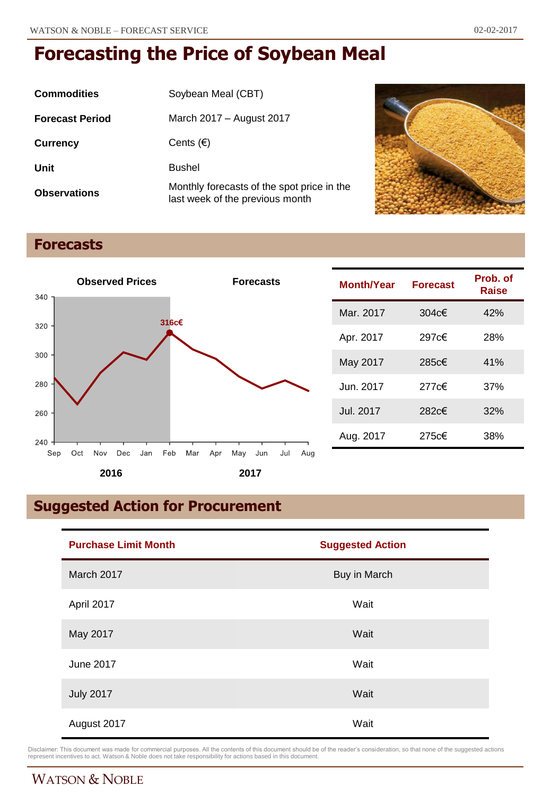| <b>Commodities</b>     | Soybean Meal (CBT)                                                            |
|------------------------|-------------------------------------------------------------------------------|
| <b>Forecast Period</b> | March 2017 - August 2017                                                      |
| <b>Currency</b>        | Cents $(\epsilon)$                                                            |
| Unit                   | <b>Bushel</b>                                                                 |
| <b>Observations</b>    | Monthly forecasts of the spot price in the<br>last week of the previous month |



# **Forecasts**



| Month/Year | <b>Forecast</b> | Prob. of<br>Raise |
|------------|-----------------|-------------------|
| Mar. 2017  | 304 $c€$        | 42%               |
| Apr. 2017  | 297c€           | 28%               |
| May 2017   | 285c€           | 41%               |
| Jun. 2017  | 277c€           | 37%               |
| Jul. 2017  | 282c€           | 32%               |
| Aug. 2017  | 275c€           | 38%               |

# **Suggested Action for Procurement**

| <b>Purchase Limit Month</b> | <b>Suggested Action</b> |  |
|-----------------------------|-------------------------|--|
| March 2017                  | Buy in March            |  |
| April 2017                  | Wait                    |  |
| May 2017                    | Wait                    |  |
| <b>June 2017</b>            | Wait                    |  |
| <b>July 2017</b>            | Wait                    |  |
| August 2017                 | Wait                    |  |

Disclaimer: This document was made for commercial purposes. All the contents of this document should be of the reader's consideration, so that none of the suggested actions<br>represent incentives to act. Watson & Noble does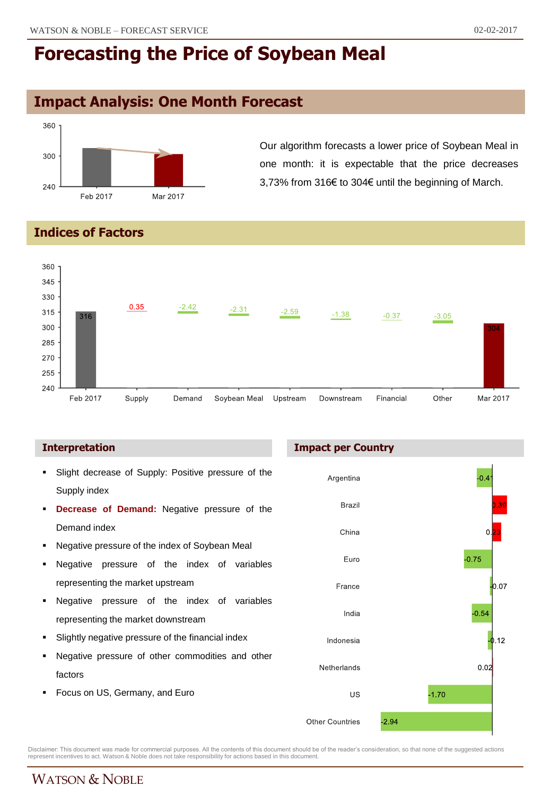# **Impact Analysis: One Month Forecast**



Our algorithm forecasts a lower price of Soybean Meal in one month: it is expectable that the price decreases 3,73% from 316€ to 304€ until the beginning of March.

### **Indices of Factors**



### **Interpretation**

- Slight decrease of Supply: Positive pressure of the Supply index
- **Decrease of Demand:** Negative pressure of the Demand index
- Negative pressure of the index of Soybean Meal
- Negative pressure of the index of variables representing the market upstream
- Negative pressure of the index of variables representing the market downstream
- Slightly negative pressure of the financial index
- Negative pressure of other commodities and other factors
- Focus on US, Germany, and Euro

### **Impact per Country**



Disclaimer: This document was made for commercial purposes. All the contents of this document should be of the reader's consideration, so that none of the suggested actions<br>represent incentives to act. Watson & Noble does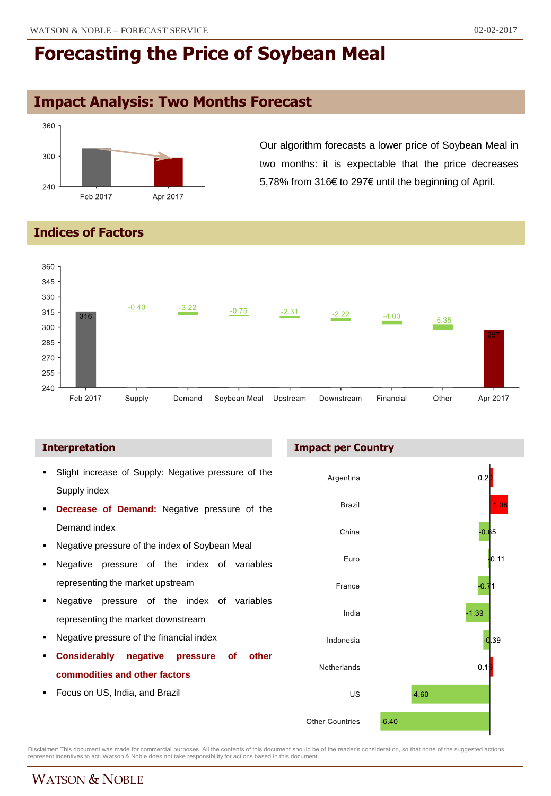## **Impact Analysis: Two Months Forecast**



Our algorithm forecasts a lower price of Soybean Meal in two months: it is expectable that the price decreases 5,78% from 316€ to 297€ until the beginning of April.

### **Indices of Factors**



- Slight increase of Supply: Negative pressure of the Supply index
- **Decrease of Demand:** Negative pressure of the Demand index
- Negative pressure of the index of Soybean Meal
- Negative pressure of the index of variables representing the market upstream
- Negative pressure of the index of variables representing the market downstream
- Negative pressure of the financial index
- **Considerably negative pressure of other commodities and other factors**
- Focus on US, India, and Brazil

### **Interpretation Impact per Country**



Disclaimer: This document was made for commercial purposes. All the contents of this document should be of the reader's consideration, so that none of the suggested actions<br>represent incentives to act. Watson & Noble does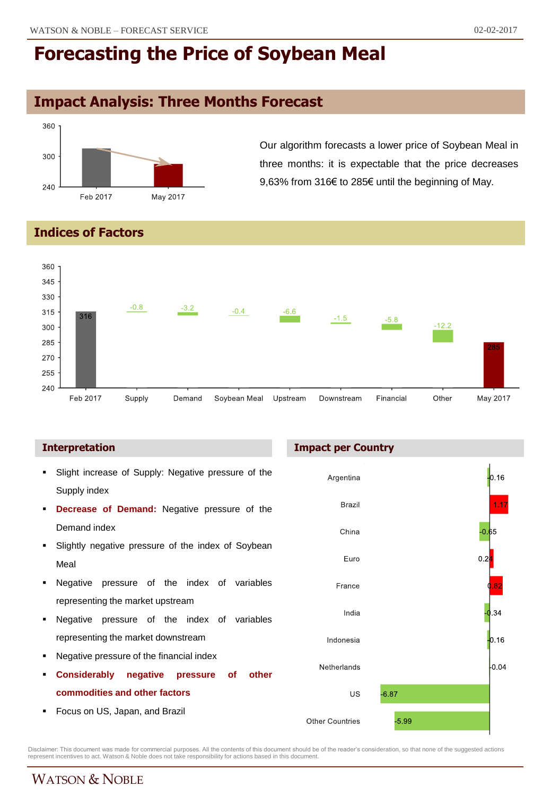# **Impact Analysis: Three Months Forecast**



Our algorithm forecasts a lower price of Soybean Meal in three months: it is expectable that the price decreases 9,63% from 316€ to 285€ until the beginning of May.

### **Indices of Factors**



- Slight increase of Supply: Negative pressure of the Supply index
- **Decrease of Demand:** Negative pressure of the Demand index
- **Slightly negative pressure of the index of Soybean** Meal
- **Negative pressure of the index of variables** representing the market upstream
- Negative pressure of the index of variables representing the market downstream
- Negative pressure of the financial index
- **Considerably negative pressure of other commodities and other factors**
- Focus on US, Japan, and Brazil

### **Interpretation Impact per Country**



Disclaimer: This document was made for commercial purposes. All the contents of this document should be of the reader's consideration, so that none of the suggested actions<br>represent incentives to act. Watson & Noble does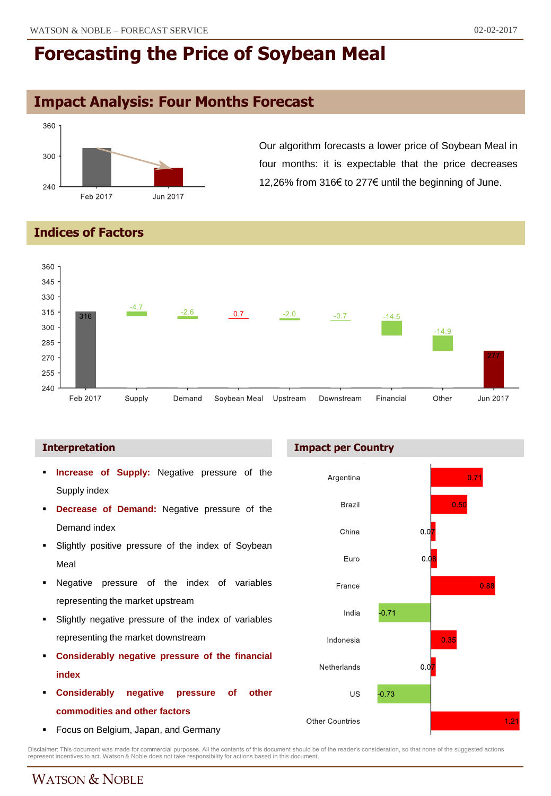## **Impact Analysis: Four Months Forecast**



Our algorithm forecasts a lower price of Soybean Meal in four months: it is expectable that the price decreases 12,26% from 316€ to 277€ until the beginning of June.

### **Indices of Factors**



- **Increase of Supply:** Negative pressure of the Supply index
- **Decrease of Demand:** Negative pressure of the Demand index
- **Slightly positive pressure of the index of Soybean** Meal
- Negative pressure of the index of variables representing the market upstream
- Slightly negative pressure of the index of variables representing the market downstream
- **Considerably negative pressure of the financial index**
- **Considerably negative pressure of other commodities and other factors**
- Focus on Belgium, Japan, and Germany

### **Interpretation Impact per Country**



Disclaimer: This document was made for commercial purposes. All the contents of this document should be of the reader's consideration, so that none of the suggested actions<br>represent incentives to act. Watson & Noble does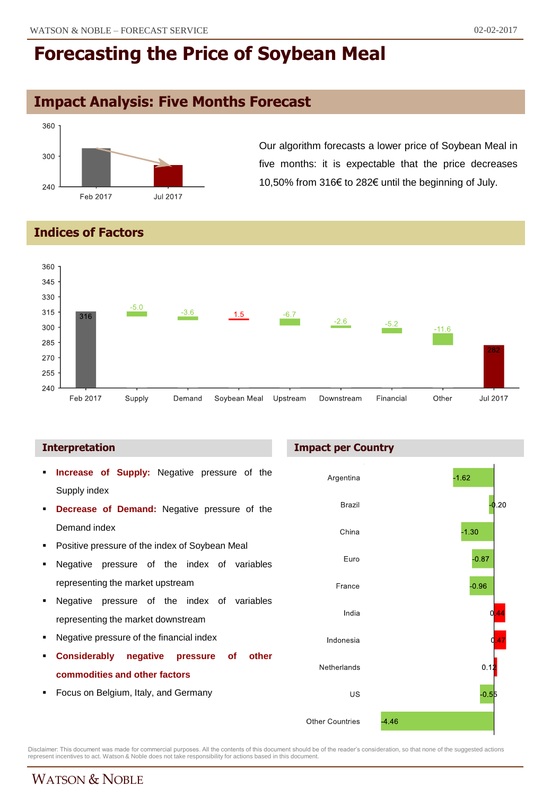# **Impact Analysis: Five Months Forecast**



Our algorithm forecasts a lower price of Soybean Meal in five months: it is expectable that the price decreases 10,50% from 316€ to 282€ until the beginning of July.

### **Indices of Factors**



- **Increase of Supply:** Negative pressure of the Supply index
- **Decrease of Demand:** Negative pressure of the Demand index
- Positive pressure of the index of Soybean Meal
- Negative pressure of the index of variables representing the market upstream
- Negative pressure of the index of variables representing the market downstream
- Negative pressure of the financial index
- **Considerably negative pressure of other commodities and other factors**
- Focus on Belgium, Italy, and Germany

### **Interpretation Impact per Country**



Disclaimer: This document was made for commercial purposes. All the contents of this document should be of the reader's consideration, so that none of the suggested actions<br>represent incentives to act. Watson & Noble does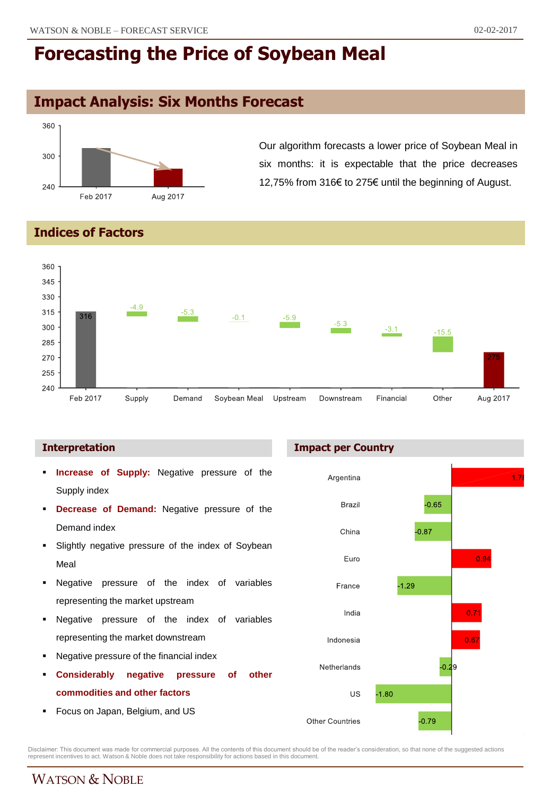## **Impact Analysis: Six Months Forecast**



Our algorithm forecasts a lower price of Soybean Meal in six months: it is expectable that the price decreases 12,75% from 316€ to 275€ until the beginning of August.

### **Indices of Factors**



### **Interpretation**

- **Increase of Supply:** Negative pressure of the Supply index
- **Decrease of Demand:** Negative pressure of the Demand index
- **Slightly negative pressure of the index of Soybean** Meal
- **Negative pressure of the index of variables** representing the market upstream
- Negative pressure of the index of variables representing the market downstream
- Negative pressure of the financial index
- **Considerably negative pressure of other commodities and other factors**
- **Focus on Japan, Belgium, and US**

### **Impact per Country**



Disclaimer: This document was made for commercial purposes. All the contents of this document should be of the reader's consideration, so that none of the suggested actions<br>represent incentives to act. Watson & Noble does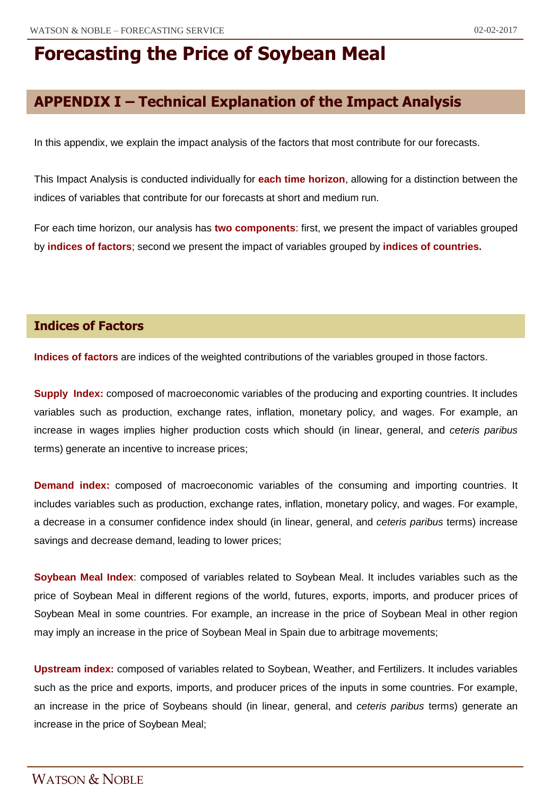## **APPENDIX I – Technical Explanation of the Impact Analysis**

In this appendix, we explain the impact analysis of the factors that most contribute for our forecasts.

This Impact Analysis is conducted individually for **each time horizon**, allowing for a distinction between the indices of variables that contribute for our forecasts at short and medium run.

For each time horizon, our analysis has **two components**: first, we present the impact of variables grouped by **indices of factors**; second we present the impact of variables grouped by **indices of countries.**

### **Indices of Factors**

**Indices of factors** are indices of the weighted contributions of the variables grouped in those factors.

**Supply Index:** composed of macroeconomic variables of the producing and exporting countries. It includes variables such as production, exchange rates, inflation, monetary policy, and wages. For example, an increase in wages implies higher production costs which should (in linear, general, and *ceteris paribus* terms) generate an incentive to increase prices;

**Demand index:** composed of macroeconomic variables of the consuming and importing countries. It includes variables such as production, exchange rates, inflation, monetary policy, and wages. For example, a decrease in a consumer confidence index should (in linear, general, and *ceteris paribus* terms) increase savings and decrease demand, leading to lower prices;

**Soybean Meal Index**: composed of variables related to Soybean Meal. It includes variables such as the price of Soybean Meal in different regions of the world, futures, exports, imports, and producer prices of Soybean Meal in some countries. For example, an increase in the price of Soybean Meal in other region may imply an increase in the price of Soybean Meal in Spain due to arbitrage movements;

**Upstream index:** composed of variables related to Soybean, Weather, and Fertilizers. It includes variables such as the price and exports, imports, and producer prices of the inputs in some countries. For example, an increase in the price of Soybeans should (in linear, general, and *ceteris paribus* terms) generate an increase in the price of Soybean Meal;